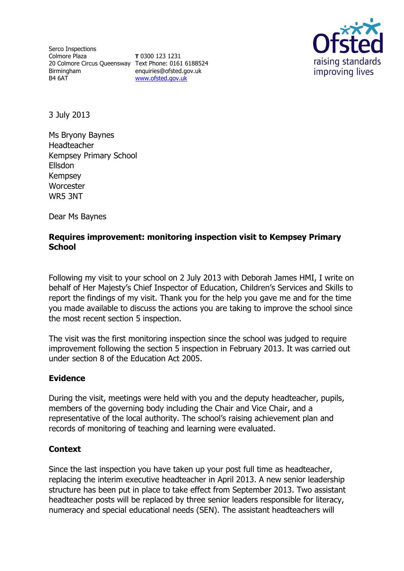Serco Inspections Colmore Plaza 20 Colmore Circus Queensway Text Phone: 0161 6188524 Birmingham B4 6AT

**T** 0300 123 1231 enquiries@ofsted.gov.uk [www.ofsted.gov.uk](http://www.ofsted.gov.uk/)



3 July 2013

Ms Bryony Baynes Headteacher Kempsey Primary School Ellsdon Kempsey **Worcester** WR5 3NT

Dear Ms Baynes

# **Requires improvement: monitoring inspection visit to Kempsey Primary School**

Following my visit to your school on 2 July 2013 with Deborah James HMI, I write on behalf of Her Majesty's Chief Inspector of Education, Children's Services and Skills to report the findings of my visit. Thank you for the help you gave me and for the time you made available to discuss the actions you are taking to improve the school since the most recent section 5 inspection.

The visit was the first monitoring inspection since the school was judged to require improvement following the section 5 inspection in February 2013. It was carried out under section 8 of the Education Act 2005.

## **Evidence**

During the visit, meetings were held with you and the deputy headteacher, pupils, members of the governing body including the Chair and Vice Chair, and a representative of the local authority. The school's raising achievement plan and records of monitoring of teaching and learning were evaluated.

## **Context**

Since the last inspection you have taken up your post full time as headteacher, replacing the interim executive headteacher in April 2013. A new senior leadership structure has been put in place to take effect from September 2013. Two assistant headteacher posts will be replaced by three senior leaders responsible for literacy, numeracy and special educational needs (SEN). The assistant headteachers will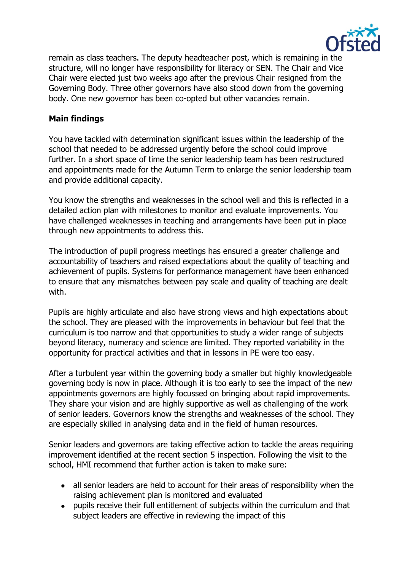

remain as class teachers. The deputy headteacher post, which is remaining in the structure, will no longer have responsibility for literacy or SEN. The Chair and Vice Chair were elected just two weeks ago after the previous Chair resigned from the Governing Body. Three other governors have also stood down from the governing body. One new governor has been co-opted but other vacancies remain.

# **Main findings**

You have tackled with determination significant issues within the leadership of the school that needed to be addressed urgently before the school could improve further. In a short space of time the senior leadership team has been restructured and appointments made for the Autumn Term to enlarge the senior leadership team and provide additional capacity.

You know the strengths and weaknesses in the school well and this is reflected in a detailed action plan with milestones to monitor and evaluate improvements. You have challenged weaknesses in teaching and arrangements have been put in place through new appointments to address this.

The introduction of pupil progress meetings has ensured a greater challenge and accountability of teachers and raised expectations about the quality of teaching and achievement of pupils. Systems for performance management have been enhanced to ensure that any mismatches between pay scale and quality of teaching are dealt with.

Pupils are highly articulate and also have strong views and high expectations about the school. They are pleased with the improvements in behaviour but feel that the curriculum is too narrow and that opportunities to study a wider range of subjects beyond literacy, numeracy and science are limited. They reported variability in the opportunity for practical activities and that in lessons in PE were too easy.

After a turbulent year within the governing body a smaller but highly knowledgeable governing body is now in place. Although it is too early to see the impact of the new appointments governors are highly focussed on bringing about rapid improvements. They share your vision and are highly supportive as well as challenging of the work of senior leaders. Governors know the strengths and weaknesses of the school. They are especially skilled in analysing data and in the field of human resources.

Senior leaders and governors are taking effective action to tackle the areas requiring improvement identified at the recent section 5 inspection. Following the visit to the school, HMI recommend that further action is taken to make sure:

- all senior leaders are held to account for their areas of responsibility when the raising achievement plan is monitored and evaluated
- pupils receive their full entitlement of subjects within the curriculum and that subject leaders are effective in reviewing the impact of this